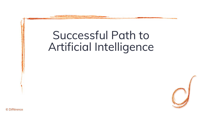## Successful Path to Artificial Intelligence



© Différence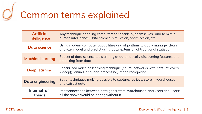# Common terms explained

| <b>Artificial</b><br>intelligence | Any technique enabling computers to "decide by themselves" and to mimic<br>human intelligence. Data science, simulation, optimization, etc.            |
|-----------------------------------|--------------------------------------------------------------------------------------------------------------------------------------------------------|
| Data science                      | Using modern computer capabilities and algorithms to apply manage, clean,<br>analyze, model and predict using data; extension of traditional statistic |
| <b>Machine learning</b>           | Subset of data science tools aiming at automatically discovering features and<br>predicting from data                                                  |
| <b>Deep learning</b>              | Specialized machine learning technique (neural networks with "lots" of layers<br>= deep); natural language processing, image recognition               |
| <b>Data engineering</b>           | Set of techniques making possible to capture, retrieve, store in warehouses<br>and extract data                                                        |
| Internet-of-<br>things            | Interconnections between data generators, warehouses, analyzers and users;<br>all the above would be boring without it                                 |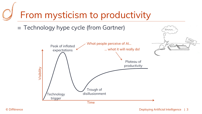## From mysticism to productivity

 $\equiv$  Technology hype cycle (from Gartner)



Hmmm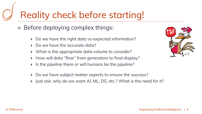## Reality check before starting!

 $\equiv$ Before deploying complex things:

- $\blacktriangleright$ Do we have the right data vs expected information?
- ▶ Do we have the accurate data?
- $\blacktriangleright$  What is the appropriate data volume to consider?
- $\blacktriangleright$  How will data "flow" from generators to final display?
- $\blacktriangleright$  Is the pipeline there or will humans be the pipeline?
- $\blacktriangleright$ Do we have subject matter experts to ensure the success?
- $\blacktriangleright$ Just ask: why do we want AI, ML, DS, etc.? What is the need for it?

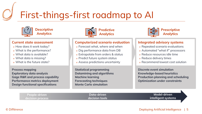## First-things-first roadmap to AI



#### **Current state assessment**

- $\sigma$  How does it work today?
- $\rm_\sigma$  What is the performance?
- $\sigma$  What data is available?
- $\sigma$  What data is missing?
- $\sigma$  What is the future state?

**Process mapping Exploratory data analysis Gage R&R and process capability Performance metrics deploymentDesign functional specifications**



### **Computerized scenario evaluation**

- $\rm\sigma$  Forecast what, where and when
- $\scriptstyle\sigma$  Dig performance data from DB
- $\rm \sigma$  Extrapolate from orders & status
- <mark>σ</mark> Predict future system status
- $\overline{\mathtt{c}}$  Assess predictions uncertainty

**Statistical programming Datamining and algorithmsMachine learning Forecasting techniquesMonte Carlo simulation**



### **Analytics**

### **Integrated advisory systems**

- $\overline{\mathtt{c}}$  Repeated scenario evaluations
- $\overline{\mathtt{c}}$  Automated "what if" processors
- $\sigma$  Reduce resources idle time
- $\scriptstyle\sigma$  Reduce delivery times
- $\rm\sigma$  Recommend lowest cost solution

**Discrete event simulation Knowledge-based heuristics Production planning and schedulingOptimization under constraints**

**People-driven decision processData-driven decision toolsModel-driven intelligent systems**

#### © Différence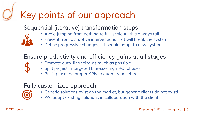## Key points of our approach

 $\equiv$  Sequential (iterative) transformation steps

• Avoid jumping from nothing to full-scale AI, this always fail



- Prevent from disruptive interventions that will break the system
- Define progressive changes, let people adapt to new systems

### $\epsilon =$  Ensure productivity and efficiency gains at all stages

- Promote auto-financing as much as possible
- Split project in targeted bite-size high ROI phases
- Put it place the proper KPIs to quantity benefits

### $\equiv$  Fully customized approach



- Generic solutions exist on the market, but generic clients do not exist!
- We adapt existing solutions in collaboration with the client